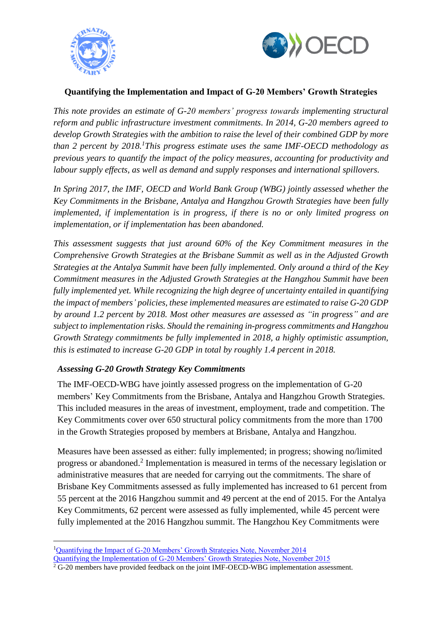



# **Quantifying the Implementation and Impact of G-20 Members' Growth Strategies**

*This note provides an estimate of G-20 members' progress towards implementing structural reform and public infrastructure investment commitments. In 2014, G-20 members agreed to develop Growth Strategies with the ambition to raise the level of their combined GDP by more than 2 percent by 2018. <sup>1</sup>This progress estimate uses the same IMF-OECD methodology as previous years to quantify the impact of the policy measures, accounting for productivity and labour supply effects, as well as demand and supply responses and international spillovers.* 

*In Spring 2017, the IMF, OECD and World Bank Group (WBG) jointly assessed whether the Key Commitments in the Brisbane, Antalya and Hangzhou Growth Strategies have been fully implemented, if implementation is in progress, if there is no or only limited progress on implementation, or if implementation has been abandoned.* 

*This assessment suggests that just around 60% of the Key Commitment measures in the Comprehensive Growth Strategies at the Brisbane Summit as well as in the Adjusted Growth Strategies at the Antalya Summit have been fully implemented. Only around a third of the Key Commitment measures in the Adjusted Growth Strategies at the Hangzhou Summit have been fully implemented yet. While recognizing the high degree of uncertainty entailed in quantifying the impact of members' policies, these implemented measures are estimated to raise G-20 GDP by around 1.2 percent by 2018. Most other measures are assessed as "in progress" and are subject to implementation risks. Should the remaining in-progress commitments and Hangzhou Growth Strategy commitments be fully implemented in 2018, a highly optimistic assumption, this is estimated to increase G-20 GDP in total by roughly 1.4 percent in 2018.*

## *Assessing G-20 Growth Strategy Key Commitments*

1

The IMF-OECD-WBG have jointly assessed progress on the implementation of G-20 members' Key Commitments from the Brisbane, Antalya and Hangzhou Growth Strategies. This included measures in the areas of investment, employment, trade and competition. The Key Commitments cover over 650 structural policy commitments from the more than 1700 in the Growth Strategies proposed by members at Brisbane, Antalya and Hangzhou.

Measures have been assessed as either: fully implemented; in progress; showing no/limited progress or abandoned.<sup>2</sup> Implementation is measured in terms of the necessary legislation or administrative measures that are needed for carrying out the commitments. The share of Brisbane Key Commitments assessed as fully implemented has increased to 61 percent from 55 percent at the 2016 Hangzhou summit and 49 percent at the end of 2015. For the Antalya Key Commitments, 62 percent were assessed as fully implemented, while 45 percent were fully implemented at the 2016 Hangzhou summit. The Hangzhou Key Commitments were

<sup>&</sup>lt;sup>1</sup>[Quantifying the Impact of G-20 Members' Growth Strategies Note, November 2014](https://www.imf.org/external/np/g20/pdf/2014/growthstrat.pdf) [Quantifying the Implementation of G-20 Members' Growth Strategies Note, November 2015](http://g20.org/English/Documents/PastPresidency/201512/P020151228379620821453.pdf)

 $2$  G-20 members have provided feedback on the joint IMF-OECD-WBG implementation assessment.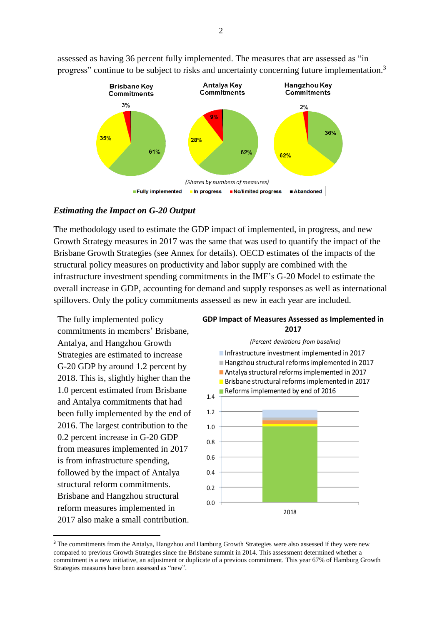

assessed as having 36 percent fully implemented. The measures that are assessed as "in progress" continue to be subject to risks and uncertainty concerning future implementation.<sup>3</sup>

#### *Estimating the Impact on G-20 Output*

The methodology used to estimate the GDP impact of implemented, in progress, and new Growth Strategy measures in 2017 was the same that was used to quantify the impact of the Brisbane Growth Strategies (see Annex for details). OECD estimates of the impacts of the structural policy measures on productivity and labor supply are combined with the infrastructure investment spending commitments in the IMF's G-20 Model to estimate the overall increase in GDP, accounting for demand and supply responses as well as international spillovers. Only the policy commitments assessed as new in each year are included.

The fully implemented policy commitments in members' Brisbane, Antalya, and Hangzhou Growth Strategies are estimated to increase G-20 GDP by around 1.2 percent by 2018. This is, slightly higher than the 1.0 percent estimated from Brisbane and Antalya commitments that had been fully implemented by the end of 2016. The largest contribution to the 0.2 percent increase in G-20 GDP from measures implemented in 2017 is from infrastructure spending, followed by the impact of Antalya structural reform commitments. Brisbane and Hangzhou structural reform measures implemented in 2017 also make a small contribution.

**.** 

#### **GDP Impact of Measures Assessed as Implemented in 2017**



<sup>&</sup>lt;sup>3</sup> The commitments from the Antalya, Hangzhou and Hamburg Growth Strategies were also assessed if they were new compared to previous Growth Strategies since the Brisbane summit in 2014. This assessment determined whether a commitment is a new initiative, an adjustment or duplicate of a previous commitment. This year 67% of Hamburg Growth Strategies measures have been assessed as "new".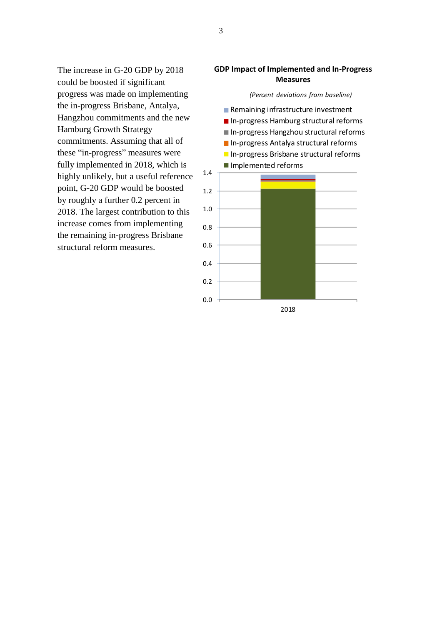The increase in G-20 GDP by 2018 could be boosted if significant progress was made on implementing the in-progress Brisbane, Antalya, Hangzhou commitments and the new Hamburg Growth Strategy commitments. Assuming that all of these "in-progress" measures were fully implemented in 2018, which is highly unlikely, but a useful reference point, G-20 GDP would be boosted by roughly a further 0.2 percent in 2018. The largest contribution to this increase comes from implementing the remaining in-progress Brisbane structural reform measures.

### **GDP Impact of Implemented and In-Progress Measures**

*(Percent deviations from baseline)*



3